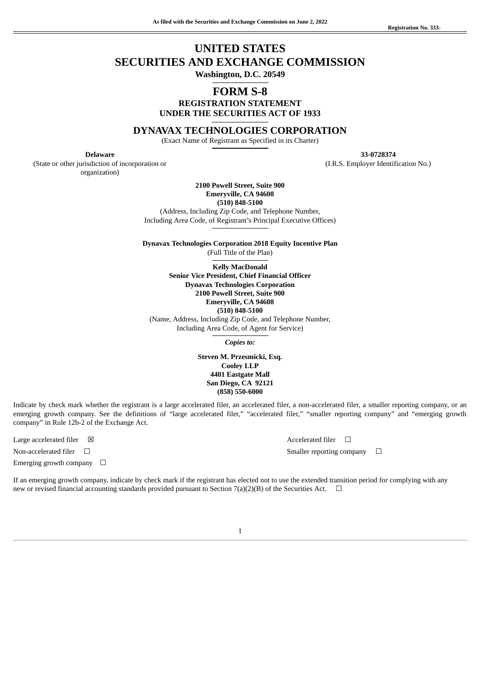**33-0728374** (I.R.S. Employer Identification No.)

# **UNITED STATES SECURITIES AND EXCHANGE COMMISSION Washington, D.C. 20549**

## **FORM S-8**

**REGISTRATION STATEMENT UNDER THE SECURITIES ACT OF 1933**

**DYNAVAX TECHNOLOGIES CORPORATION**

(Exact Name of Registrant as Specified in its Charter)

**Delaware**

(State or other jurisdiction of incorporation or organization)

> **2100 Powell Street, Suite 900 Emeryville, CA 94608 (510) 848-5100**

(Address, Including Zip Code, and Telephone Number, Including Area Code, of Registrant's Principal Executive Offices)

**Dynavax Technologies Corporation 2018 Equity Incentive Plan** (Full Title of the Plan)

**Kelly MacDonald Senior Vice President, Chief Financial Officer Dynavax Technologies Corporation 2100 Powell Street, Suite 900 Emeryville, CA 94608 (510) 848-5100** (Name, Address, Including Zip Code, and Telephone Number, Including Area Code, of Agent for Service)

*Copies to:*

**Steven M. Przesmicki, Esq. Cooley LLP 4401 Eastgate Mall San Diego, CA 92121 (858) 550-6000**

Indicate by check mark whether the registrant is a large accelerated filer, an accelerated filer, a non-accelerated filer, a smaller reporting company, or an emerging growth company. See the definitions of "large accelerated filer," "accelerated filer," "smaller reporting company" and "emerging growth company" in Rule 12b-2 of the Exchange Act.

Large accelerated filer  $□$   $□$  Accelerated filer  $□$ Emerging growth company  $\Box$ 

Non-accelerated filer ☐ Smaller reporting company ☐

If an emerging growth company, indicate by check mark if the registrant has elected not to use the extended transition period for complying with any new or revised financial accounting standards provided pursuant to Section 7(a)(2)(B) of the Securities Act.  $\Box$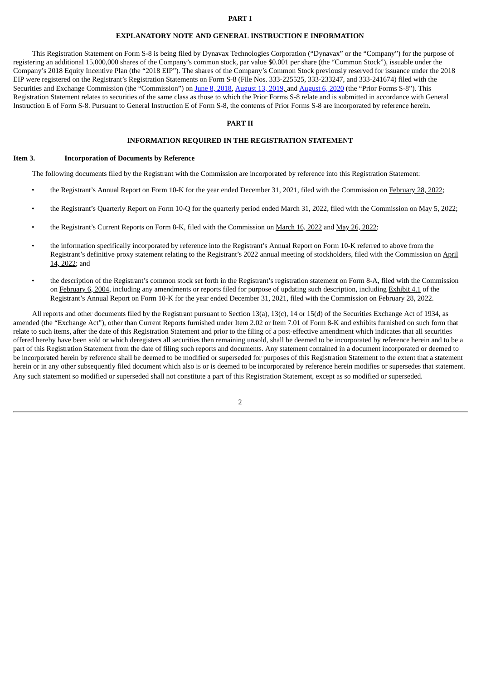#### **PART I**

#### **EXPLANATORY NOTE AND GENERAL INSTRUCTION E INFORMATION**

This Registration Statement on Form S-8 is being filed by Dynavax Technologies Corporation ("Dynavax" or the "Company") for the purpose of registering an additional 15,000,000 shares of the Company's common stock, par value \$0.001 per share (the "Common Stock"), issuable under the Company's 2018 Equity Incentive Plan (the "2018 EIP"). The shares of the Company's Common Stock previously reserved for issuance under the 2018 EIP were registered on the Registrant's Registration Statements on Form S-8 (File Nos. 333-225525, 333-233247, and 333-241674) filed with the Securities and Exchange Commission (the "Commission") on June 8, [2018,](http://www.sec.gov/Archives/edgar/data/1029142/000119312518188034/d602098ds8.htm) [August](http://www.sec.gov/Archives/edgar/data/1029142/000156459020037827/dvax-s8.htm) 13, 2019, and August 6, 2020 (the "Prior Forms S-8"). This Registration Statement relates to securities of the same class as those to which the Prior Forms S-8 relate and is submitted in accordance with General Instruction E of Form S-8. Pursuant to General Instruction E of Form S-8, the contents of Prior Forms S-8 are incorporated by reference herein.

#### **PART II**

#### **INFORMATION REQUIRED IN THE REGISTRATION STATEMENT**

#### **Item 3. Incorporation of Documents by Reference**

The following documents filed by the Registrant with the Commission are incorporated by reference into this Registration Statement:

- the Registrant's Annual Report on Form 10-K for the year ended December 31, 2021, filed with the Commission on [February](https://www.sec.gov/ix?doc=/Archives/edgar/data/1029142/000095017022002289/dvax-20211231.htm) 28, 2022;
- the Registrant's Quarterly Report on Form 10-Q for the quarterly period ended March 31, 2022, filed with the Commission on May 5, [2022](https://www.sec.gov/ix?doc=/Archives/edgar/data/1029142/000095017022007838/dvax-20220331.htm);
- the Registrant's Current Reports on Form 8-K, filed with the Commission on [March](https://www.sec.gov/ix?doc=/Archives/edgar/data/1029142/000095017022003936/dvax-20220315.htm) 16, 2022 and May 26, [2022;](https://www.sec.gov/ix?doc=/Archives/edgar/data/0001029142/000095017022010765/dvax-20220526.htm)
- the information specifically incorporated by reference into the Registrant's Annual Report on Form 10-K referred to above from the Registrant's definitive proxy statement relating to the Registrant's 2022 annual meeting of [stockholders,](http://www.sec.gov/Archives/edgar/data/1029142/000114036122014584/ny20002052x1_def14a.htm) filed with the Commission on April 14, 2022; and
- the description of the Registrant's common stock set forth in the Registrant's registration statement on Form 8-A, filed with the Commission on [February](http://www.sec.gov/Archives/edgar/data/1029142/000095014904000300/f96258e8va12g.htm) 6, 2004, including any amendments or reports filed for purpose of updating such description, including [Exhibit](http://www.sec.gov/Archives/edgar/data/1029142/000095017022002289/dvax-ex4_1.htm) 4.1 of the Registrant's Annual Report on Form 10-K for the year ended December 31, 2021, filed with the Commission on February 28, 2022.

All reports and other documents filed by the Registrant pursuant to Section 13(a), 13(c), 14 or 15(d) of the Securities Exchange Act of 1934, as amended (the "Exchange Act"), other than Current Reports furnished under Item 2.02 or Item 7.01 of Form 8-K and exhibits furnished on such form that relate to such items, after the date of this Registration Statement and prior to the filing of a post-effective amendment which indicates that all securities offered hereby have been sold or which deregisters all securities then remaining unsold, shall be deemed to be incorporated by reference herein and to be a part of this Registration Statement from the date of filing such reports and documents. Any statement contained in a document incorporated or deemed to be incorporated herein by reference shall be deemed to be modified or superseded for purposes of this Registration Statement to the extent that a statement herein or in any other subsequently filed document which also is or is deemed to be incorporated by reference herein modifies or supersedes that statement. Any such statement so modified or superseded shall not constitute a part of this Registration Statement, except as so modified or superseded.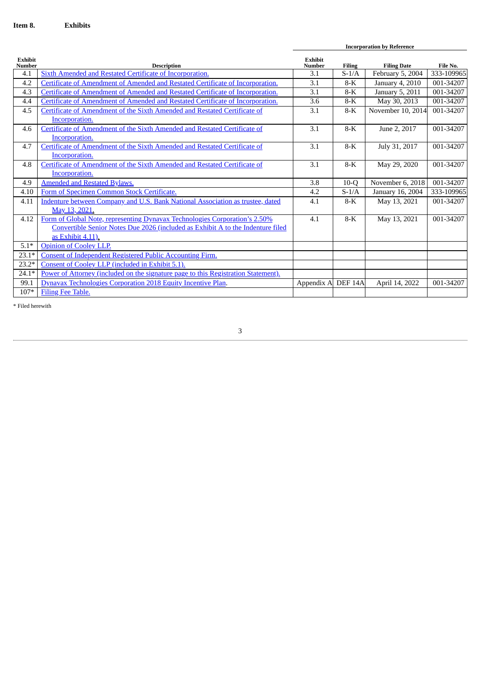**Incorporation by Reference**

| <b>Exhibit</b><br><b>Number</b> | <b>Description</b>                                                                 | <b>Exhibit</b><br><b>Number</b> | <b>Filing</b>       | <b>Filing Date</b> | File No.   |
|---------------------------------|------------------------------------------------------------------------------------|---------------------------------|---------------------|--------------------|------------|
| 4.1                             | Sixth Amended and Restated Certificate of Incorporation.                           | 3.1                             | $S-1/A$             | February 5, 2004   | 333-109965 |
| 4.2                             | Certificate of Amendment of Amended and Restated Certificate of Incorporation.     | 3.1                             | $8-K$               | January 4, 2010    | 001-34207  |
| 4.3                             | Certificate of Amendment of Amended and Restated Certificate of Incorporation.     | 3.1                             | $8-K$               | January 5, 2011    | 001-34207  |
| 4.4                             | Certificate of Amendment of Amended and Restated Certificate of Incorporation.     | 3.6                             | $8-K$               | May 30, 2013       | 001-34207  |
| 4.5                             | Certificate of Amendment of the Sixth Amended and Restated Certificate of          | 3.1                             | $8-K$               | November 10, 2014  | 001-34207  |
|                                 | Incorporation.                                                                     |                                 |                     |                    |            |
| 4.6                             | Certificate of Amendment of the Sixth Amended and Restated Certificate of          | 3.1                             | $8-K$               | June 2, 2017       | 001-34207  |
|                                 | Incorporation.                                                                     |                                 |                     |                    |            |
| 4.7                             | Certificate of Amendment of the Sixth Amended and Restated Certificate of          | 3.1                             | $8-K$               | July 31, 2017      | 001-34207  |
|                                 | Incorporation.                                                                     |                                 |                     |                    |            |
| 4.8                             | Certificate of Amendment of the Sixth Amended and Restated Certificate of          | 3.1                             | $8-K$               | May 29, 2020       | 001-34207  |
|                                 | Incorporation.                                                                     |                                 |                     |                    |            |
| 4.9                             | <b>Amended and Restated Bylaws.</b>                                                | 3.8                             | $10-Q$              | November 6, 2018   | 001-34207  |
| 4.10                            | Form of Specimen Common Stock Certificate.                                         | 4.2                             | $S-1/A$             | January 16, 2004   | 333-109965 |
| 4.11                            | Indenture between Company and U.S. Bank National Association as trustee, dated     | 4.1                             | $8-K$               | May 13, 2021       | 001-34207  |
|                                 | May 13, 2021.                                                                      |                                 |                     |                    |            |
| 4.12                            | Form of Global Note, representing Dynavax Technologies Corporation's 2.50%         | 4.1                             | $8-K$               | May 13, 2021       | 001-34207  |
|                                 | Convertible Senior Notes Due 2026 (included as Exhibit A to the Indenture filed    |                                 |                     |                    |            |
|                                 | as Exhibit 4.11).                                                                  |                                 |                     |                    |            |
| $5.1*$                          | <b>Opinion of Cooley LLP.</b>                                                      |                                 |                     |                    |            |
| $23.1*$                         | Consent of Independent Registered Public Accounting Firm.                          |                                 |                     |                    |            |
| $23.2*$                         | Consent of Cooley LLP (included in Exhibit 5.1).                                   |                                 |                     |                    |            |
| $24.1*$                         | Power of Attorney (included on the signature page to this Registration Statement). |                                 |                     |                    |            |
| 99.1                            | Dynavax Technologies Corporation 2018 Equity Incentive Plan.                       | Appendix A                      | DEF <sub>14</sub> A | April 14, 2022     | 001-34207  |
| $107*$                          | Filing Fee Table.                                                                  |                                 |                     |                    |            |

 $^\ast$  Filed here<br>with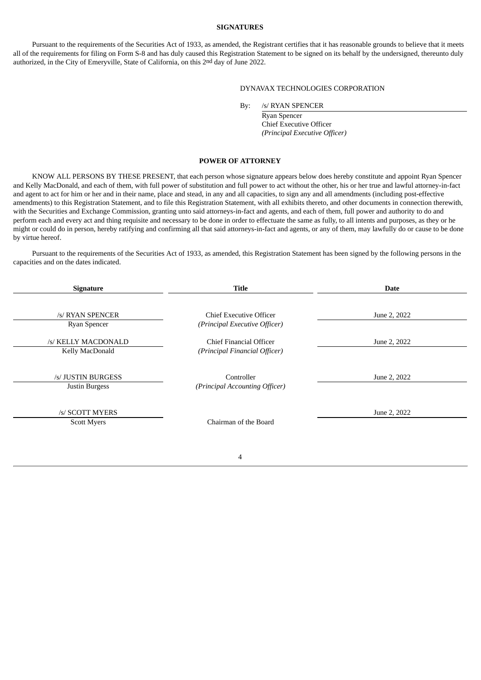### **SIGNATURES**

Pursuant to the requirements of the Securities Act of 1933, as amended, the Registrant certifies that it has reasonable grounds to believe that it meets all of the requirements for filing on Form S-8 and has duly caused this Registration Statement to be signed on its behalf by the undersigned, thereunto duly authorized, in the City of Emeryville, State of California, on this 2nd day of June 2022.

#### DYNAVAX TECHNOLOGIES CORPORATION

By: /s/ RYAN SPENCER

Ryan Spencer Chief Executive Officer *(Principal Executive Officer)*

### **POWER OF ATTORNEY**

<span id="page-3-0"></span>KNOW ALL PERSONS BY THESE PRESENT, that each person whose signature appears below does hereby constitute and appoint Ryan Spencer and Kelly MacDonald, and each of them, with full power of substitution and full power to act without the other, his or her true and lawful attorney-in-fact and agent to act for him or her and in their name, place and stead, in any and all capacities, to sign any and all amendments (including post-effective amendments) to this Registration Statement, and to file this Registration Statement, with all exhibits thereto, and other documents in connection therewith, with the Securities and Exchange Commission, granting unto said attorneys-in-fact and agents, and each of them, full power and authority to do and perform each and every act and thing requisite and necessary to be done in order to effectuate the same as fully, to all intents and purposes, as they or he might or could do in person, hereby ratifying and confirming all that said attorneys-in-fact and agents, or any of them, may lawfully do or cause to be done by virtue hereof.

Pursuant to the requirements of the Securities Act of 1933, as amended, this Registration Statement has been signed by the following persons in the capacities and on the dates indicated.

| <b>Signature</b>                      | <b>Title</b>                                             | <b>Date</b>  |  |  |
|---------------------------------------|----------------------------------------------------------|--------------|--|--|
| /s/ RYAN SPENCER<br>Ryan Spencer      | Chief Executive Officer<br>(Principal Executive Officer) | June 2, 2022 |  |  |
| /s/ KELLY MACDONALD                   | Chief Financial Officer                                  | June 2, 2022 |  |  |
| Kelly MacDonald                       | (Principal Financial Officer)                            |              |  |  |
| /s/ JUSTIN BURGESS<br>Justin Burgess  | Controller<br>(Principal Accounting Officer)             | June 2, 2022 |  |  |
| /s/ SCOTT MYERS<br><b>Scott Myers</b> | Chairman of the Board                                    | June 2, 2022 |  |  |
|                                       |                                                          |              |  |  |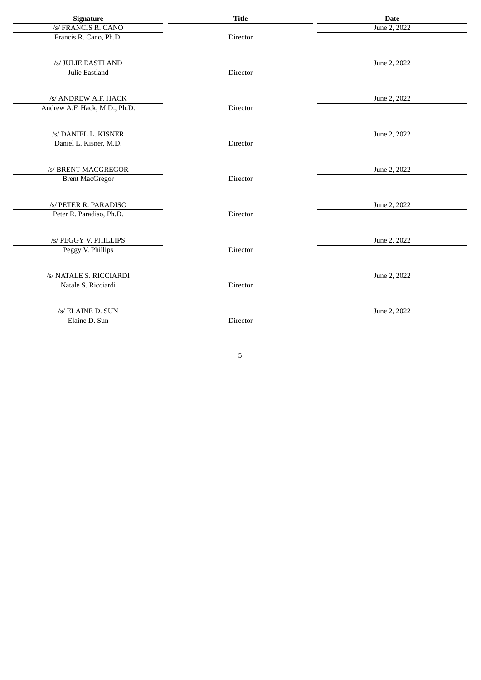| Signature                     | <b>Title</b> | <b>Date</b>  |
|-------------------------------|--------------|--------------|
| /s/ FRANCIS R. CANO           |              | June 2, 2022 |
| Francis R. Cano, Ph.D.        | Director     |              |
| /s/ JULIE EASTLAND            |              | June 2, 2022 |
| Julie Eastland                | Director     |              |
| /s/ ANDREW A.F. HACK          |              | June 2, 2022 |
| Andrew A.F. Hack, M.D., Ph.D. | Director     |              |
| /s/ DANIEL L. KISNER          |              | June 2, 2022 |
| Daniel L. Kisner, M.D.        | Director     |              |
| /s/ BRENT MACGREGOR           |              | June 2, 2022 |
| <b>Brent MacGregor</b>        | Director     |              |
| /s/ PETER R. PARADISO         |              | June 2, 2022 |
| Peter R. Paradiso, Ph.D.      | Director     |              |
| /s/ PEGGY V. PHILLIPS         |              | June 2, 2022 |
| Peggy V. Phillips             | Director     |              |
| /s/ NATALE S. RICCIARDI       |              | June 2, 2022 |
| Natale S. Ricciardi           | Director     |              |
| /s/ ELAINE D. SUN             |              | June 2, 2022 |
| Elaine D. Sun                 | Director     |              |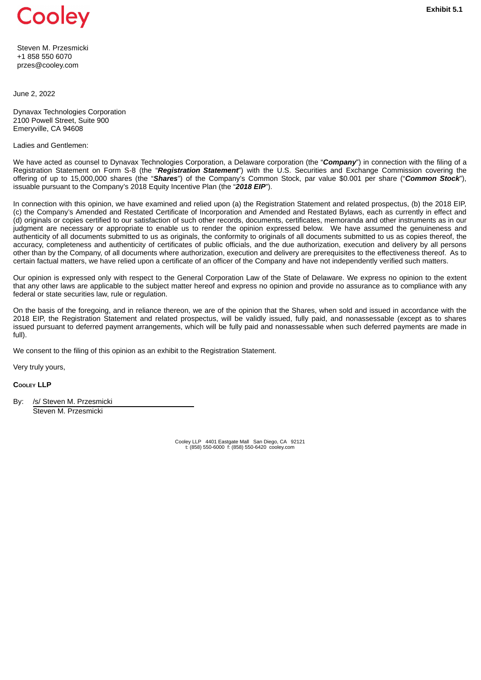<span id="page-5-0"></span>

Steven M. Przesmicki +1 858 550 6070 przes@cooley.com

June 2, 2022

Dynavax Technologies Corporation 2100 Powell Street, Suite 900 Emeryville, CA 94608

Ladies and Gentlemen:

We have acted as counsel to Dynavax Technologies Corporation, a Delaware corporation (the "**Company**") in connection with the filing of a Registration Statement on Form S-8 (the "*Registration Statement*") with the U.S. Securities and Exchange Commission covering the offering of up to 15,000,000 shares (the "*Shares*") of the Company's Common Stock, par value \$0.001 per share ("*Common Stock*"), issuable pursuant to the Company's 2018 Equity Incentive Plan (the "*2018 EIP*").

In connection with this opinion, we have examined and relied upon (a) the Registration Statement and related prospectus, (b) the 2018 EIP, (c) the Company's Amended and Restated Certificate of Incorporation and Amended and Restated Bylaws, each as currently in effect and (d) originals or copies certified to our satisfaction of such other records, documents, certificates, memoranda and other instruments as in our judgment are necessary or appropriate to enable us to render the opinion expressed below. We have assumed the genuineness and authenticity of all documents submitted to us as originals, the conformity to originals of all documents submitted to us as copies thereof, the accuracy, completeness and authenticity of certificates of public officials, and the due authorization, execution and delivery by all persons other than by the Company, of all documents where authorization, execution and delivery are prerequisites to the effectiveness thereof. As to certain factual matters, we have relied upon a certificate of an officer of the Company and have not independently verified such matters.

Our opinion is expressed only with respect to the General Corporation Law of the State of Delaware. We express no opinion to the extent that any other laws are applicable to the subject matter hereof and express no opinion and provide no assurance as to compliance with any federal or state securities law, rule or regulation.

On the basis of the foregoing, and in reliance thereon, we are of the opinion that the Shares, when sold and issued in accordance with the 2018 EIP, the Registration Statement and related prospectus, will be validly issued, fully paid, and nonassessable (except as to shares issued pursuant to deferred payment arrangements, which will be fully paid and nonassessable when such deferred payments are made in full).

We consent to the filing of this opinion as an exhibit to the Registration Statement.

Very truly yours,

**COOLEY LLP**

By: /s/ Steven M. Przesmicki Steven M. Przesmicki

Cooley LLP 4401 Eastgate Mall San Diego, CA 92121 t: (858) 550-6000 f: (858) 550-6420 cooley.com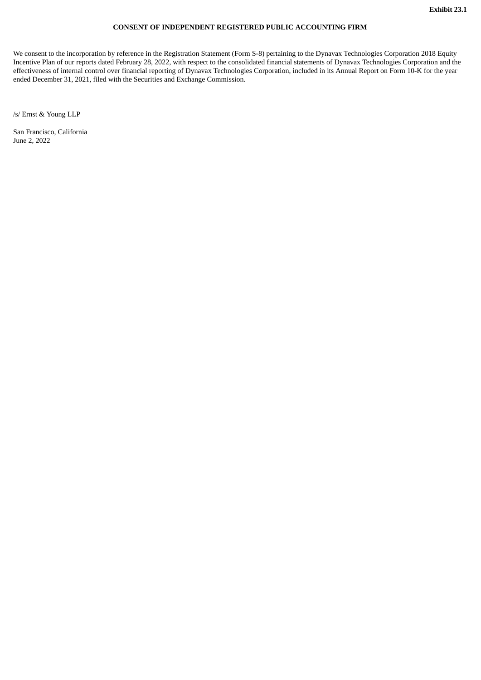### **CONSENT OF INDEPENDENT REGISTERED PUBLIC ACCOUNTING FIRM**

<span id="page-6-0"></span>We consent to the incorporation by reference in the Registration Statement (Form S-8) pertaining to the Dynavax Technologies Corporation 2018 Equity Incentive Plan of our reports dated February 28, 2022, with respect to the consolidated financial statements of Dynavax Technologies Corporation and the effectiveness of internal control over financial reporting of Dynavax Technologies Corporation, included in its Annual Report on Form 10-K for the year ended December 31, 2021, filed with the Securities and Exchange Commission.

/s/ Ernst & Young LLP

San Francisco, California June 2, 2022